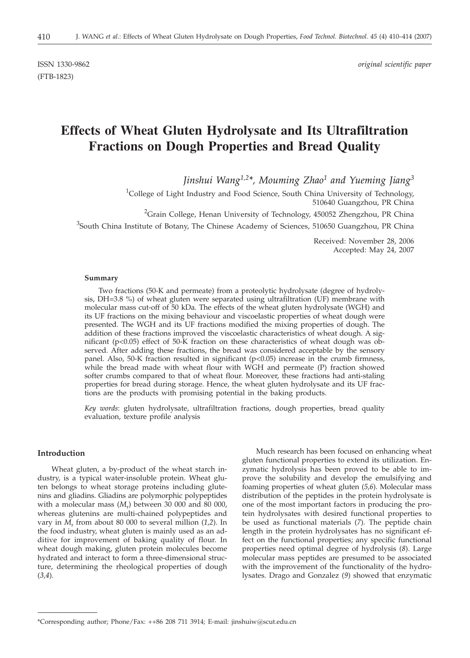(FTB-1823)

ISSN 1330-9862 *original scientific paper*

# **Effects of Wheat Gluten Hydrolysate and Its Ultrafiltration Fractions on Dough Properties and Bread Quality**

*Jinshui Wang1,2\*, Mouming Zhao1 and Yueming Jiang3*

<sup>1</sup>College of Light Industry and Food Science, South China University of Technology, 510640 Guangzhou, PR China

<sup>2</sup>Grain College, Henan University of Technology, 450052 Zhengzhou, PR China

<sup>3</sup>South China Institute of Botany, The Chinese Academy of Sciences, 510650 Guangzhou, PR China

Received: November 28, 2006 Accepted: May 24, 2007

#### **Summary**

Two fractions (50-K and permeate) from a proteolytic hydrolysate (degree of hydrolysis, DH=3.8 %) of wheat gluten were separated using ultrafiltration (UF) membrane with molecular mass cut-off of 50 kDa. The effects of the wheat gluten hydrolysate (WGH) and its UF fractions on the mixing behaviour and viscoelastic properties of wheat dough were presented. The WGH and its UF fractions modified the mixing properties of dough. The addition of these fractions improved the viscoelastic characteristics of wheat dough. A significant ( $p<0.05$ ) effect of 50-K fraction on these characteristics of wheat dough was observed. After adding these fractions, the bread was considered acceptable by the sensory panel. Also, 50-K fraction resulted in significant (p<0.05) increase in the crumb firmness, while the bread made with wheat flour with WGH and permeate (P) fraction showed softer crumbs compared to that of wheat flour. Moreover, these fractions had anti-staling properties for bread during storage. Hence, the wheat gluten hydrolysate and its UF fractions are the products with promising potential in the baking products.

*Key words*: gluten hydrolysate, ultrafiltration fractions, dough properties, bread quality evaluation, texture profile analysis

## **Introduction**

Wheat gluten, a by-product of the wheat starch industry, is a typical water-insoluble protein. Wheat gluten belongs to wheat storage proteins including glutenins and gliadins. Gliadins are polymorphic polypeptides with a molecular mass (*M*r) between 30 000 and 80 000, whereas glutenins are multi-chained polypeptides and vary in  $M_r$  from about 80 000 to several million (1,2). In the food industry, wheat gluten is mainly used as an additive for improvement of baking quality of flour. In wheat dough making, gluten protein molecules become hydrated and interact to form a three-dimensional structure, determining the rheological properties of dough (*3,4*).

Much research has been focused on enhancing wheat gluten functional properties to extend its utilization. Enzymatic hydrolysis has been proved to be able to improve the solubility and develop the emulsifying and foaming properties of wheat gluten (*5,6*). Molecular mass distribution of the peptides in the protein hydrolysate is one of the most important factors in producing the protein hydrolysates with desired functional properties to be used as functional materials (*7*). The peptide chain length in the protein hydrolysates has no significant effect on the functional properties; any specific functional properties need optimal degree of hydrolysis (*8*). Large molecular mass peptides are presumed to be associated with the improvement of the functionality of the hydrolysates. Drago and Gonzalez (*9*) showed that enzymatic

<sup>\*</sup>Corresponding author; Phone/Fax: ++86 208 711 3914; E-mail: jinshuiw@scut.edu.cn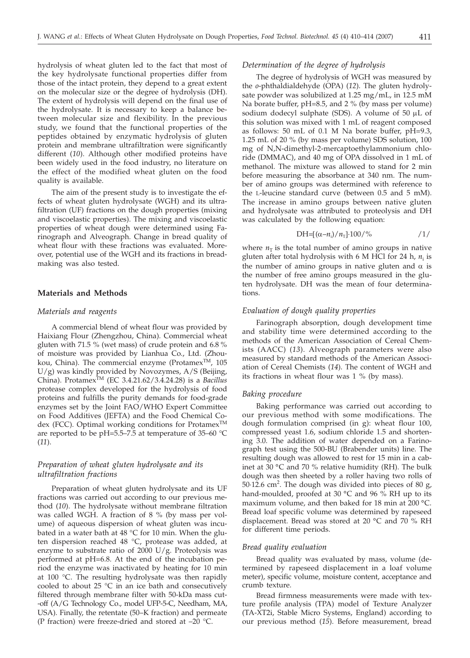hydrolysis of wheat gluten led to the fact that most of the key hydrolysate functional properties differ from those of the intact protein, they depend to a great extent on the molecular size or the degree of hydrolysis (DH). The extent of hydrolysis will depend on the final use of the hydrolysate. It is necessary to keep a balance between molecular size and flexibility. In the previous study, we found that the functional properties of the peptides obtained by enzymatic hydrolysis of gluten protein and membrane ultrafiltration were significantly different (*10*). Although other modified proteins have been widely used in the food industry, no literature on the effect of the modified wheat gluten on the food quality is available.

The aim of the present study is to investigate the effects of wheat gluten hydrolysate (WGH) and its ultrafiltration (UF) fractions on the dough properties (mixing and viscoelastic properties). The mixing and viscoelastic properties of wheat dough were determined using Farinograph and Alveograph. Change in bread quality of wheat flour with these fractions was evaluated. Moreover, potential use of the WGH and its fractions in breadmaking was also tested.

#### **Materials and Methods**

## *Materials and reagents*

A commercial blend of wheat flour was provided by Haixiang Flour (Zhengzhou, China). Commercial wheat gluten with 71.5 % (wet mass) of crude protein and 6.8 % of moisture was provided by Lianhua Co., Ltd. (Zhoukou, China). The commercial enzyme (Protamex<sup>TM</sup>, 105  $U/g$ ) was kindly provided by Novozymes, A/S (Beijing, China). ProtamexTM (EC 3.4.21.62/3.4.24.28) is a *Bacillus* protease complex developed for the hydrolysis of food proteins and fulfills the purity demands for food-grade enzymes set by the Joint FAO/WHO Expert Committee on Food Additives (JEFTA) and the Food Chemical Codex (FCC). Optimal working conditions for Protamex<sup>™</sup> are reported to be pH=5.5–7.5 at temperature of 35–60 °C (*11*).

# *Preparation of wheat gluten hydrolysate and its ultrafiltration fractions*

Preparation of wheat gluten hydrolysate and its UF fractions was carried out according to our previous method (*10*). The hydrolysate without membrane filtration was called WGH. A fraction of 8 % (by mass per volume) of aqueous dispersion of wheat gluten was incubated in a water bath at 48 °C for 10 min. When the gluten dispersion reached 48 °C, protease was added, at enzyme to substrate ratio of 2000 U/g. Proteolysis was performed at pH=6.8. At the end of the incubation period the enzyme was inactivated by heating for 10 min at 100 °C. The resulting hydrolysate was then rapidly cooled to about 25 °C in an ice bath and consecutively filtered through membrane filter with 50-kDa mass cut- -off (A/G Technology Co., model UFP-5-C, Needham, MA, USA). Finally, the retentate (50–K fraction) and permeate (P fraction) were freeze-dried and stored at –20 °C.

### *Determination of the degree of hydrolysis*

The degree of hydrolysis of WGH was measured by the *o*-phthaldialdehyde (OPA) (*12*). The gluten hydrolysate powder was solubilized at 1.25 mg/mL, in 12.5 mM Na borate buffer, pH=8.5, and 2 % (by mass per volume) sodium dodecyl sulphate (SDS). A volume of  $50 \mu L$  of this solution was mixed with 1 mL of reagent composed as follows: 50 mL of 0.1 M Na borate buffer, pH=9.3, 1.25 mL of 20 % (by mass per volume) SDS solution, 100 mg of N,N-dimethyl-2-mercaptoethylammonium chloride (DMMAC), and 40 mg of OPA dissolved in 1 mL of methanol. The mixture was allowed to stand for 2 min before measuring the absorbance at 340 nm. The number of amino groups was determined with reference to the L-leucine standard curve (between 0.5 and 5 mM). The increase in amino groups between native gluten and hydrolysate was attributed to proteolysis and DH was calculated by the following equation:

$$
DH=[(\alpha - n_i)/n_T] \cdot 100\frac{\%}{\ } \qquad \qquad /1/
$$

where  $n<sub>T</sub>$  is the total number of amino groups in native gluten after total hydrolysis with 6 M HCl for 24 h,  $n_i$  is the number of amino groups in native gluten and  $\alpha$  is the number of free amino groups measured in the gluten hydrolysate. DH was the mean of four determinations.

## *Evaluation of dough quality properties*

Farinograph absorption, dough development time and stability time were determined according to the methods of the American Association of Cereal Chemists (AACC) (*13*). Alveograph parameters were also measured by standard methods of the American Association of Cereal Chemists (*14*). The content of WGH and its fractions in wheat flour was 1 % (by mass).

#### *Baking procedure*

Baking performance was carried out according to our previous method with some modifications. The dough formulation comprised (in g): wheat flour 100, compressed yeast 1.6, sodium chloride 1.5 and shortening 3.0. The addition of water depended on a Farinograph test using the 500-BU (Brabender units) line. The resulting dough was allowed to rest for 15 min in a cabinet at 30 °C and 70 % relative humidity (RH). The bulk dough was then sheeted by a roller having two rolls of 50 $\cdot$ 12.6 cm<sup>2</sup>. The dough was divided into pieces of 80 g, hand-moulded, proofed at 30 °C and 96 % RH up to its maximum volume, and then baked for 18 min at 200 °C. Bread loaf specific volume was determined by rapeseed displacement. Bread was stored at 20 °C and 70 % RH for different time periods.

#### *Bread quality evaluation*

Bread quality was evaluated by mass, volume (determined by rapeseed displacement in a loaf volume meter), specific volume, moisture content, acceptance and crumb texture.

Bread firmness measurements were made with texture profile analysis (TPA) model of Texture Analyzer (TA-XT2i, Stable Micro Systems, England) according to our previous method (*15*). Before measurement, bread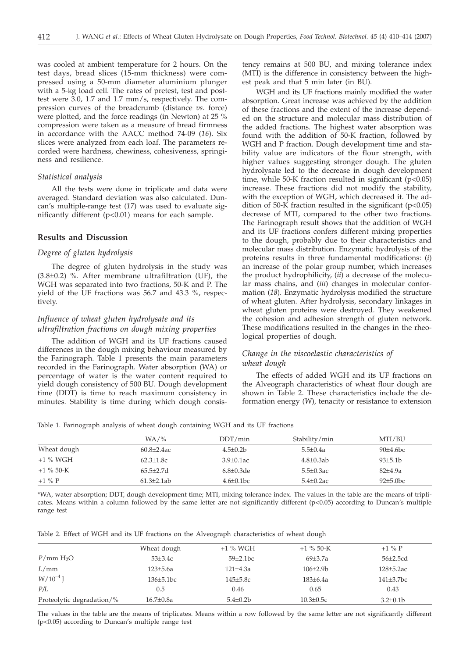was cooled at ambient temperature for 2 hours. On the test days, bread slices (15-mm thickness) were compressed using a 50-mm diameter aluminium plunger with a 5-kg load cell. The rates of pretest, test and posttest were 3.0, 1.7 and 1.7 mm/s, respectively. The compression curves of the breadcrumb (distance *vs*. force) were plotted, and the force readings (in Newton) at 25 % compression were taken as a measure of bread firmness in accordance with the AACC method 74-09 (*16*). Six slices were analyzed from each loaf. The parameters recorded were hardness, chewiness, cohesiveness, springiness and resilience.

#### *Statistical analysis*

All the tests were done in triplicate and data were averaged. Standard deviation was also calculated. Duncan's multiple-range test (*17*) was used to evaluate significantly different (p<0.01) means for each sample.

## **Results and Discussion**

## *Degree of gluten hydrolysis*

The degree of gluten hydrolysis in the study was  $(3.8\pm0.2)$  %. After membrane ultrafiltration (UF), the WGH was separated into two fractions, 50-K and P. The yield of the UF fractions was 56.7 and 43.3 %, respectively.

# *Influence of wheat gluten hydrolysate and its ultrafiltration fractions on dough mixing properties*

The addition of WGH and its UF fractions caused differences in the dough mixing behaviour measured by the Farinograph. Table 1 presents the main parameters recorded in the Farinograph. Water absorption (WA) or percentage of water is the water content required to yield dough consistency of 500 BU. Dough development time (DDT) is time to reach maximum consistency in minutes. Stability is time during which dough consis-

tency remains at 500 BU, and mixing tolerance index (MTI) is the difference in consistency between the highest peak and that 5 min later (in BU).

WGH and its UF fractions mainly modified the water absorption. Great increase was achieved by the addition of these fractions and the extent of the increase depended on the structure and molecular mass distribution of the added fractions. The highest water absorption was found with the addition of 50-K fraction, followed by WGH and P fraction. Dough development time and stability value are indicators of the flour strength, with higher values suggesting stronger dough. The gluten hydrolysate led to the decrease in dough development time, while  $50-K$  fraction resulted in significant ( $p<0.05$ ) increase. These fractions did not modify the stability, with the exception of WGH, which decreased it. The addition of 50-K fraction resulted in the significant  $(p<0.05)$ decrease of MTI, compared to the other two fractions. The Farinograph result shows that the addition of WGH and its UF fractions confers different mixing properties to the dough, probably due to their characteristics and molecular mass distribution. Enzymatic hydrolysis of the proteins results in three fundamental modifications: (*i*) an increase of the polar group number, which increases the product hydrophilicity, (*ii*) a decrease of the molecular mass chains, and (*iii*) changes in molecular conformation (*18*). Enzymatic hydrolysis modified the structure of wheat gluten. After hydrolysis, secondary linkages in wheat gluten proteins were destroyed. They weakened the cohesion and adhesion strength of gluten network. These modifications resulted in the changes in the rheological properties of dough.

# *Change in the viscoelastic characteristics of wheat dough*

The effects of added WGH and its UF fractions on the Alveograph characteristics of wheat flour dough are shown in Table 2. These characteristics include the deformation energy (*W*), tenacity or resistance to extension

Table 1. Farinograph analysis of wheat dough containing WGH and its UF fractions

|             | $WA/$ %           | DDT/min          | Stability/min    | MTI/BU         |
|-------------|-------------------|------------------|------------------|----------------|
| Wheat dough | $60.8{\pm}2.4$ ac | $4.5 \pm 0.2 b$  | $5.5 \pm 0.4a$   | 90±4.6bc       |
| $+1\%$ WGH  | $62.3 \pm 1.8c$   | $3.9 \pm 0.1$ ac | $4.8\pm0.3ab$    | 93±5.1b        |
| $+1\%50-K$  | $65.5 \pm 2.7$ d  | $6.8 \pm 0.3$ de | $5.5 \pm 0.3$ ac | $82{\pm}4.9a$  |
| $+1\%$ P    | $61.3 + 2.1ab$    | $4.6 \pm 0.1$ bc | $5.4 + 0.2ac$    | $92{\pm}5.0bc$ |

\*WA, water absorption; DDT, dough development time; MTI, mixing tolerance index. The values in the table are the means of triplicates. Means within a column followed by the same letter are not significantly different (p<0.05) according to Duncan's multiple range test

Table 2. Effect of WGH and its UF fractions on the Alveograph characteristics of wheat dough

|                           | Wheat dough      | $+1\%$ WGH               | $+1\%50-K$      | $+1\%$ P        |
|---------------------------|------------------|--------------------------|-----------------|-----------------|
| P/mm H <sub>2</sub> O     | $53\pm3.4c$      | $59 + 2.1$ <sub>bc</sub> | $69{\pm}3.7a$   | $56 \pm 2.5$ cd |
| L/mm                      | $123 \pm 5.6a$   | $121 \pm 4.3a$           | $106 \pm 2.9$   | $128 + 5.2ac$   |
| $W/10^{-4}$ J             | $136 \pm 5.1$ bc | $145 + 5.8c$             | $183 + 6.4a$    | $141\pm3.7$ bc  |
| P/L                       | 0.5              | 0.46                     | 0.65            | 0.43            |
| Proteolytic degradation/% | $16.7 \pm 0.8a$  | $5.4 \pm 0.2 b$          | $10.3 \pm 0.5c$ | $3.2 \pm 0.1$   |
|                           |                  |                          |                 |                 |

The values in the table are the means of triplicates. Means within a row followed by the same letter are not significantly different (p<0.05) according to Duncan's multiple range test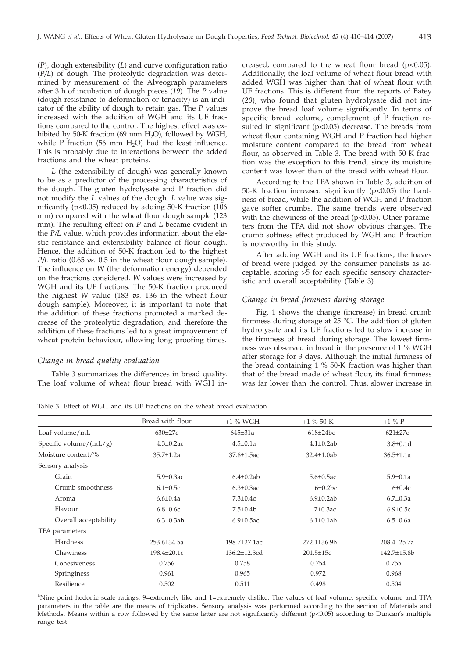(*P*), dough extensibility (*L*) and curve configuration ratio (*P/L*) of dough. The proteolytic degradation was determined by measurement of the Alveograph parameters after 3 h of incubation of dough pieces (*19*). The *P* value (dough resistance to deformation or tenacity) is an indicator of the ability of dough to retain gas. The *P* values increased with the addition of WGH and its UF fractions compared to the control. The highest effect was exhibited by 50-K fraction (69 mm  $H_2O$ ), followed by WGH, while P fraction  $(56 \text{ mm H}_2O)$  had the least influence. This is probably due to interactions between the added fractions and the wheat proteins.

*L* (the extensibility of dough) was generally known to be as a predictor of the processing characteristics of the dough. The gluten hydrolysate and P fraction did not modify the *L* values of the dough. *L* value was significantly ( $p<0.05$ ) reduced by adding 50-K fraction (106 mm) compared with the wheat flour dough sample (123 mm). The resulting effect on *P* and *L* became evident in the *P/L* value, which provides information about the elastic resistance and extensibility balance of flour dough. Hence, the addition of 50-K fraction led to the highest *P/L* ratio (0.65 *vs.* 0.5 in the wheat flour dough sample). The influence on *W* (the deformation energy) depended on the fractions considered. *W* values were increased by WGH and its UF fractions. The 50-K fraction produced the highest *W* value (183 *vs.* 136 in the wheat flour dough sample). Moreover, it is important to note that the addition of these fractions promoted a marked decrease of the proteolytic degradation, and therefore the addition of these fractions led to a great improvement of wheat protein behaviour, allowing long proofing times.

#### *Change in bread quality evaluation*

Table 3 summarizes the differences in bread quality. The loaf volume of wheat flour bread with WGH increased, compared to the wheat flour bread (p<0.05). Additionally, the loaf volume of wheat flour bread with added WGH was higher than that of wheat flour with UF fractions. This is different from the reports of Batey (*20*), who found that gluten hydrolysate did not improve the bread loaf volume significantly. In terms of specific bread volume, complement of P fraction resulted in significant ( $p<0.05$ ) decrease. The breads from wheat flour containing WGH and P fraction had higher moisture content compared to the bread from wheat flour, as observed in Table 3. The bread with 50-K fraction was the exception to this trend, since its moisture content was lower than of the bread with wheat flour.

According to the TPA shown in Table 3, addition of 50-K fraction increased significantly  $(p<0.05)$  the hardness of bread, while the addition of WGH and P fraction gave softer crumbs. The same trends were observed with the chewiness of the bread  $(p<0.05)$ . Other parameters from the TPA did not show obvious changes. The crumb softness effect produced by WGH and P fraction is noteworthy in this study.

After adding WGH and its UF fractions, the loaves of bread were judged by the consumer panelists as acceptable, scoring >5 for each specific sensory characteristic and overall acceptability (Table 3).

#### *Change in bread firmness during storage*

Fig. 1 shows the change (increase) in bread crumb firmness during storage at 25 °C. The addition of gluten hydrolysate and its UF fractions led to slow increase in the firmness of bread during storage. The lowest firmness was observed in bread in the presence of 1 % WGH after storage for 3 days. Although the initial firmness of the bread containing 1 % 50-K fraction was higher than that of the bread made of wheat flour, its final firmness was far lower than the control. Thus, slower increase in

Table 3. Effect of WGH and its UF fractions on the wheat bread evaluation

|                           | Bread with flour  | $+1$ % WGH       | $+1\%50-K$         | $+1\%$ P        |
|---------------------------|-------------------|------------------|--------------------|-----------------|
| Loaf volume/mL            | $630 \pm 27c$     | $645 \pm 31a$    | $618\pm24$ bc      | $621 \pm 27c$   |
| Specific volume/ $(mL/g)$ | $4.3 \pm 0.2$ ac  | $4.5 \pm 0.1a$   | $4.1\pm0.2ab$      | $3.8 \pm 0.1$ d |
| Moisture content/ $\%$    | $35.7 \pm 1.2a$   | 37.8±1.5ac       | $32.4 \pm 1.0$ ab  | $36.5 \pm 1.1a$ |
| Sensory analysis          |                   |                  |                    |                 |
| Grain                     | $5.9 \pm 0.3$ ac  | $6.4 \pm 0.2$ ab | $5.6 \pm 0.5$ ac   | $5.9 \pm 0.1a$  |
| Crumb smoothness          | $6.1 \pm 0.5c$    | $6.3 \pm 0.3$ ac | $6\pm0.2$ bc       | $6\pm0.4c$      |
| Aroma                     | $6.6 \pm 0.4a$    | $7.3 \pm 0.4c$   | $6.9 \pm 0.2$ ab   | $6.7 \pm 0.3a$  |
| Flavour                   | $6.8 + 0.6c$      | $7.5 \pm 0.4$ b  | $7+0.3ac$          | $6.9 \pm 0.5c$  |
| Overall acceptability     | $6.3 \pm 0.3$ ab  | $6.9 \pm 0.5$ ac | $6.1\pm0.1ab$      | $6.5 \pm 0.6a$  |
| TPA parameters            |                   |                  |                    |                 |
| Hardness                  | $253.6 \pm 34.5a$ | $198.7 + 27.1ac$ | $272.1 \pm 36.9 b$ | $208.4 + 25.7a$ |
| Chewiness                 | 198.4±20.1c       | 136.2±12.3cd     | $201.5 \pm 15c$    | 142.7±15.8b     |
| Cohesiveness              | 0.756             | 0.758            | 0.754              | 0.755           |
| Springiness               | 0.961             | 0.965            | 0.972              | 0.968           |
| Resilience                | 0.502             | 0.511            | 0.498              | 0.504           |

<sup>a</sup>Nine point hedonic scale ratings: 9=extremely like and 1=extremely dislike. The values of loaf volume, specific volume and TPA parameters in the table are the means of triplicates. Sensory analysis was performed according to the section of Materials and Methods. Means within a row followed by the same letter are not significantly different (p<0.05) according to Duncan's multiple range test